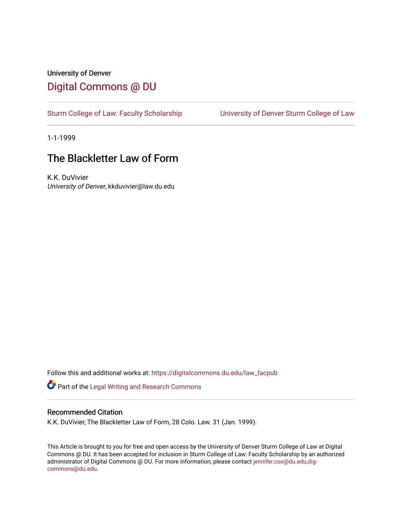## University of Denver [Digital Commons @ DU](https://digitalcommons.du.edu/)

[Sturm College of Law: Faculty Scholarship](https://digitalcommons.du.edu/law_facpub) [University of Denver Sturm College of Law](https://digitalcommons.du.edu/denver_law) 

1-1-1999

## The Blackletter Law of Form

K.K. DuVivier University of Denver, kkduvivier@law.du.edu

Follow this and additional works at: [https://digitalcommons.du.edu/law\\_facpub](https://digitalcommons.du.edu/law_facpub?utm_source=digitalcommons.du.edu%2Flaw_facpub%2F379&utm_medium=PDF&utm_campaign=PDFCoverPages) 

Part of the [Legal Writing and Research Commons](http://network.bepress.com/hgg/discipline/614?utm_source=digitalcommons.du.edu%2Flaw_facpub%2F379&utm_medium=PDF&utm_campaign=PDFCoverPages) 

#### Recommended Citation

K.K. DuVivier, The Blackletter Law of Form, 28 Colo. Law. 31 (Jan. 1999).

This Article is brought to you for free and open access by the University of Denver Sturm College of Law at Digital Commons @ DU. It has been accepted for inclusion in Sturm College of Law: Faculty Scholarship by an authorized administrator of Digital Commons @ DU. For more information, please contact [jennifer.cox@du.edu,dig](mailto:jennifer.cox@du.edu,dig-commons@du.edu)[commons@du.edu.](mailto:jennifer.cox@du.edu,dig-commons@du.edu)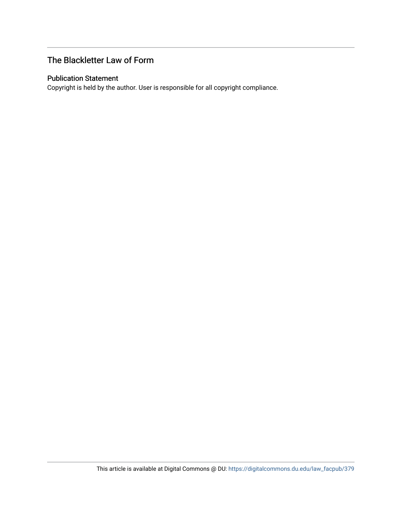## The Blackletter Law of Form

#### Publication Statement

Copyright is held by the author. User is responsible for all copyright compliance.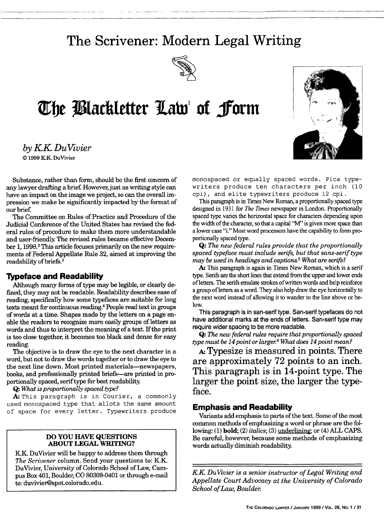## **The Scrivener: Modern Legal Writing**



# **The Blackletter Law of form**

*by KK DuVivier I* © 1999 KK. DuVivier

Substance, rather than form, should be the first concern of any lawyer drafting a brief. However, just as writing style can have an impact on the image we project, so can the overall impression we make be significantly impacted by the format of our brief.

The Committee on Rules of Practice and Procedure of the Judicial Conference of the United States has revised the federal rules of procedure to make them more understandable and user-friendly. The revised rules became effective December 1, 1998.<sup>2</sup> This article focuses primarily on the new requirements of Federal Appellate Rule 32, aimed at improving the readability of briefs.<sup>3</sup>

#### **Typeface and Readability**

Although many forms of type may be legible, or clearly defined, they may not be readable. Readability describes ease of reading, specifically how some typefaces are suitable for long texts meant for continuous reading.4 People read text in groups of words at a time. Shapes made by the letters on a page enable the readers to recognize more easily groups of letters as words and thus to interpret the meaning of a text. If the print is too close together, it becomes too black and dense for easy reading.

The objective is to draw the eye to the next character in a word, but not to draw the words together or to draw the eye to the next line down. Most printed materials-newspapers, books, and professionally printed briefs-are printed in proportionally spaced, serif type for best readability.

**Q:** *What is proportionally spaced type?*

A: This paragraph is in Courier, a commonly used monospaced type that allots the same amount of space for every letter. Typewriters produce

#### **DO YOU HAVE QUESTIONS ABOUT LEGAL WRITING?**

KK DuVivier will be happy to address them through *The Scrivener* column. Send your questions to: K.K. DuVivier, University of Colorado School of Law, Campus Box **401,** Boulder, **CO 80309-0401** or through e-mail to: duvivier@spot.colorado.edu.

monospaced or equally spaced words. Pica typewriters produce ten characters per inch **(10** cpi), and elite typewriters produce 12 cpi.

This paragraph is in Times New Roman, a proportionally spaced type designed in 1931 for *The Times* newspaper in London. Proportionally spaced type varies the horizontal space for characters depending upon the width of the character, so that a capital "M" is given more space than a lower case "i." Most word processors have the capability to form proportionally spaced type.

**Q:** *The new federal rules provide that the proportionally spaced typeface must include serifs, but that sans-serif type may be used in headings and captions.5 What are serifs?*

*A:* This paragraph is again in Times New Roman, which is a serif type. Serifs are the short lines that extend from the upper and lower ends of letters. The serifs emulate strokes of written words and help reinforce a group of letters as a word. They also help draw the eye horizontally to the next word instead of allowing it to wander to the line above or below.

This paragraph is in san-serif type. San-serif typefaces do not have additional marks at the ends of letters. San-serif type may require wider spacing to be more readable.

**Q:** *The new federal rules require that proportionally spaced type must be 14 point or larger.6 What does 14 point mean?*

*A.* Typesize is measured in points. There are approximately **72** points to an inch. This paragraph is in 14-point type. The larger the point size, the larger the typeface.

#### **Emphasis and Readability**

Variants add emphasis to parts of the text. Some of the most common methods of emphasizing a word or phrase are the following: **(1)** bold; (2) *italics;* (3) underlining; or (4) ALL CAPS. Be careful, however, because some methods of emphasizing words actually diminish readability.

*KK DuVivier is a senior instructor of Legal Writing and Appellate Court Advocacy at the University of Colorado School of Law, Boulder*